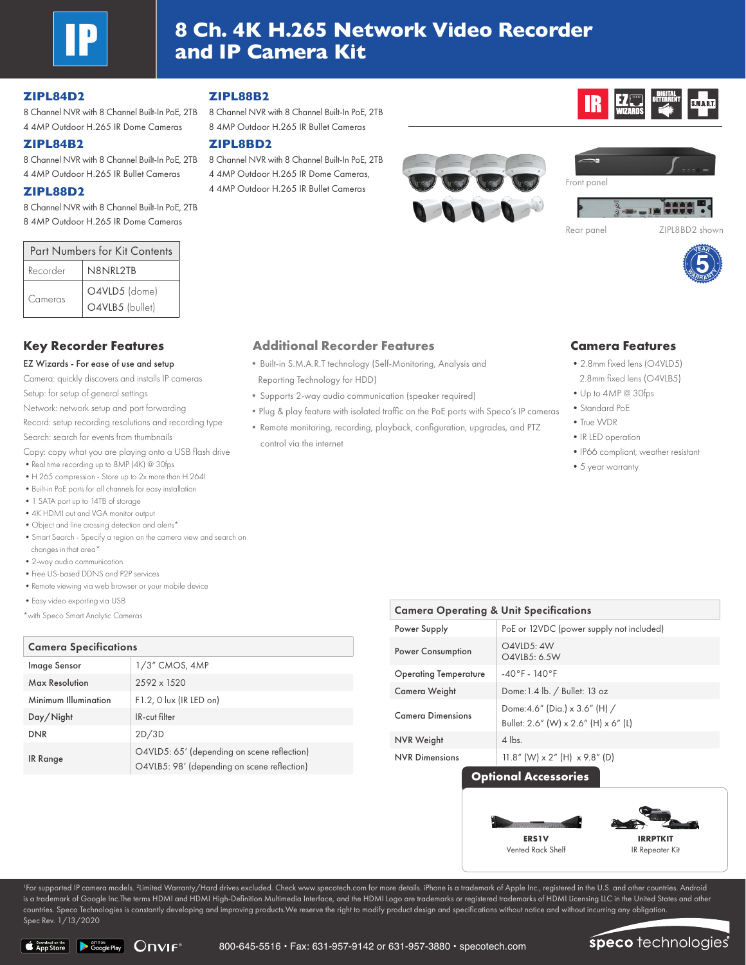

# **8 Ch. 4K H.265 Network Video Recorder and IP Camera Kit**

# **ZIPL84D2**

8 Channel NVR with 8 Channel Built-In PoE, 2TB 8 Channel NVR with 8 Channel Built-In PoE, 2TB 4 4MP Outdoor H.265 IR Dome Cameras

## **ZIPL84B2**

8 Channel NVR with 8 Channel Built-In PoE, 2TB 4 4MP Outdoor H.265 IR Bullet Cameras

## **ZIPL88D2**

8 Channel NVR with 8 Channel Built-In PoE, 2TB 8 4MP Outdoor H.265 IR Dome Cameras

| <b>Part Numbers for Kit Contents</b> |                                  |  |  |  |
|--------------------------------------|----------------------------------|--|--|--|
| Recorder                             | N8NRL2TB                         |  |  |  |
| Cameras                              | O4VLD5 (dome)<br>O4VLB5 (bullet) |  |  |  |

### EZ Wizards - For ease of use and setup

Camera: quickly discovers and installs IP cameras Setup: for setup of general settings

Network: network setup and port forwarding

Record: setup recording resolutions and recording type Search: search for events from thumbnails

Copy: copy what you are playing onto a USB flash drive

- Real time recording up to 8MP (4K) @ 30fps
- •H.265 compression Store up to 2x more than H.264! •Built-in PoE ports for all channels for easy installation
- 
- •1 SATA port up to 14TB of storage
- •4K HDMI out and VGA monitor output •Object and line crossing detection and alerts\*
- •Smart Search Specify a region on the camera view and search on changes in that area\*
- •2-way audio communication
- •Free US-based DDNS and P2P services
- •Remote viewing via web browser or your mobile device
- •Easy video exporting via USB
- \*with Speco Smart Analytic Cameras

# Camera Specifications

| Image Sensor         | $1/3$ " CMOS, $4MP$                                                                        |  |
|----------------------|--------------------------------------------------------------------------------------------|--|
| Max Resolution       | 2592 x 1520                                                                                |  |
| Minimum Illumination | F1.2, 0 lux (IR LED on)                                                                    |  |
| Day/Night            | IR-cut filter                                                                              |  |
| <b>DNR</b>           | 2D/3D                                                                                      |  |
| IR Range             | O4VLD5: 65' (depending on scene reflection)<br>O4VLB5: 98' (depending on scene reflection) |  |

# **ZIPL88B2**

8 4MP Outdoor H.265 IR Bullet Cameras

### **ZIPL8BD2**

8 Channel NVR with 8 Channel Built-In PoE, 2TB 4 4MP Outdoor H.265 IR Dome Cameras, 4 4MP Outdoor H.265 IR Bullet Cameras





**EZ WELL DETERRENT** 



# **Key Recorder Features Additional Recorder Features Camera Features**

- •Built-in S.M.A.R.T technology (Self-Monitoring, Analysis and Reporting Technology for HDD)
- •Supports 2-way audio communication (speaker required)
- •Plug & play feature with isolated traffic on the PoE ports with Speco's IP cameras
- •Remote monitoring, recording, playback, configuration, upgrades, and PTZ control via the internet

- •2.8mm fixed lens (O4VLD5)
- 2.8mm fixed lens (O4VLB5)
- •Up to 4MP @ 30fps
- •Standard PoE
- •True WDR
- •IR LED operation
- •IP66 compliant, weather resistant
- •5 year warranty

| <b>Camera Operating &amp; Unit Specifications</b> |                                                                                               |  |  |  |  |
|---------------------------------------------------|-----------------------------------------------------------------------------------------------|--|--|--|--|
| Power Supply                                      | PoE or 12VDC (power supply not included)                                                      |  |  |  |  |
| <b>Power Consumption</b>                          | O4VLD5: 4W<br>O4VLB5: 6.5W                                                                    |  |  |  |  |
| <b>Operating Temperature</b>                      | $-40^{\circ}$ F - $140^{\circ}$ F                                                             |  |  |  |  |
| Camera Weight                                     | Dome: 1.4 lb. / Bullet: 13 oz                                                                 |  |  |  |  |
| <b>Camera Dimensions</b>                          | Dome: 4.6" (Dia.) x 3.6" (H) /<br>Bullet: $2.6''$ (W) $\times$ $2.6''$ (H) $\times$ $6''$ (L) |  |  |  |  |
| <b>NVR Weight</b>                                 | $4$ lbs.                                                                                      |  |  |  |  |
| <b>NVR Dimensions</b>                             | 11.8" (W) $\times$ 2" (H) $\times$ 9.8" (D)                                                   |  |  |  |  |

# **Optional Accessories**



<sup>1</sup>For supported IP camera models. <sup>2</sup>Limited Warranty/Hard drives excluded. Check www.specotech.com for more details. iPhone is a trademark of Apple Inc., registered in the U.S. and other countries. Android is a trademark of Google Inc.The terms HDMI and HDMI High-Definition Multimedia Interface, and the HDMI Logo are trademarks or registered trademarks of HDMI Licensing LLC in the United States and other countries. Speco Technologies is constantly developing and improving products.We reserve the right to modify product design and specifications without notice and without incurring any obligation. Spec Rev. 1/13/2020